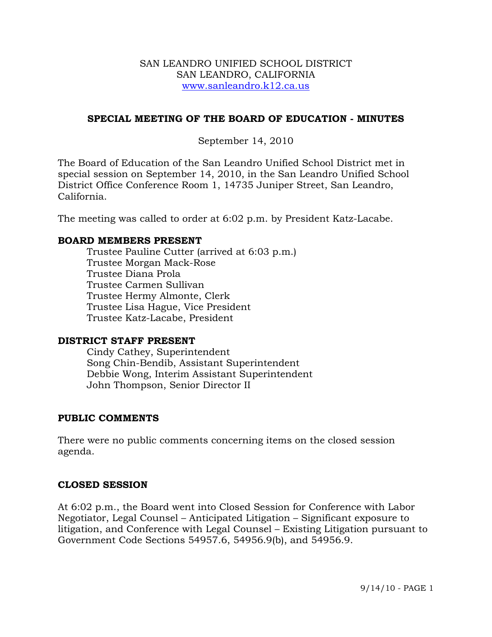#### SAN LEANDRO UNIFIED SCHOOL DISTRICT SAN LEANDRO, CALIFORNIA www.sanleandro.k12.ca.us

### **SPECIAL MEETING OF THE BOARD OF EDUCATION - MINUTES**

## September 14, 2010

The Board of Education of the San Leandro Unified School District met in special session on September 14, 2010, in the San Leandro Unified School District Office Conference Room 1, 14735 Juniper Street, San Leandro, California.

The meeting was called to order at 6:02 p.m. by President Katz-Lacabe.

#### **BOARD MEMBERS PRESENT**

Trustee Pauline Cutter (arrived at 6:03 p.m.) Trustee Morgan Mack-Rose Trustee Diana Prola Trustee Carmen Sullivan Trustee Hermy Almonte, Clerk Trustee Lisa Hague, Vice President Trustee Katz-Lacabe, President

#### **DISTRICT STAFF PRESENT**

Cindy Cathey, Superintendent Song Chin-Bendib, Assistant Superintendent Debbie Wong, Interim Assistant Superintendent John Thompson, Senior Director II

#### **PUBLIC COMMENTS**

There were no public comments concerning items on the closed session agenda.

#### **CLOSED SESSION**

At 6:02 p.m., the Board went into Closed Session for Conference with Labor Negotiator, Legal Counsel – Anticipated Litigation – Significant exposure to litigation, and Conference with Legal Counsel – Existing Litigation pursuant to Government Code Sections 54957.6, 54956.9(b), and 54956.9.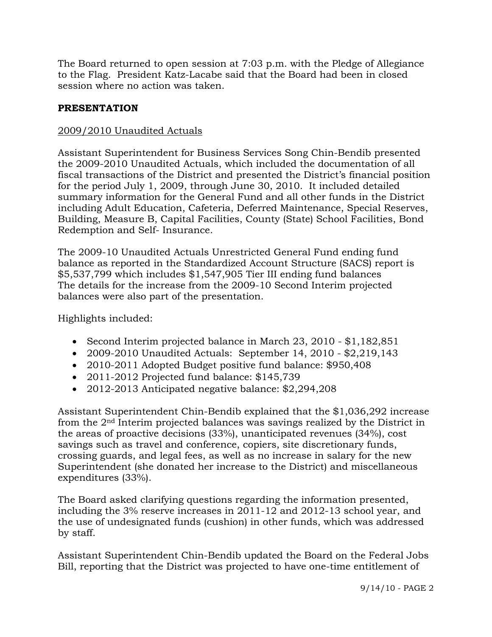The Board returned to open session at 7:03 p.m. with the Pledge of Allegiance to the Flag. President Katz-Lacabe said that the Board had been in closed session where no action was taken.

# **PRESENTATION**

# 2009/2010 Unaudited Actuals

Assistant Superintendent for Business Services Song Chin-Bendib presented the 2009-2010 Unaudited Actuals, which included the documentation of all fiscal transactions of the District and presented the District's financial position for the period July 1, 2009, through June 30, 2010. It included detailed summary information for the General Fund and all other funds in the District including Adult Education, Cafeteria, Deferred Maintenance, Special Reserves, Building, Measure B, Capital Facilities, County (State) School Facilities, Bond Redemption and Self- Insurance.

The 2009-10 Unaudited Actuals Unrestricted General Fund ending fund balance as reported in the Standardized Account Structure (SACS) report is \$5,537,799 which includes \$1,547,905 Tier III ending fund balances The details for the increase from the 2009-10 Second Interim projected balances were also part of the presentation.

Highlights included:

- Second Interim projected balance in March 23, 2010 \$1,182,851
- 2009-2010 Unaudited Actuals: September 14, 2010 \$2,219,143
- 2010-2011 Adopted Budget positive fund balance: \$950,408
- 2011-2012 Projected fund balance: \$145,739
- 2012-2013 Anticipated negative balance: \$2,294,208

Assistant Superintendent Chin-Bendib explained that the \$1,036,292 increase from the 2nd Interim projected balances was savings realized by the District in the areas of proactive decisions (33%), unanticipated revenues (34%), cost savings such as travel and conference, copiers, site discretionary funds, crossing guards, and legal fees, as well as no increase in salary for the new Superintendent (she donated her increase to the District) and miscellaneous expenditures (33%).

The Board asked clarifying questions regarding the information presented, including the 3% reserve increases in 2011-12 and 2012-13 school year, and the use of undesignated funds (cushion) in other funds, which was addressed by staff.

Assistant Superintendent Chin-Bendib updated the Board on the Federal Jobs Bill, reporting that the District was projected to have one-time entitlement of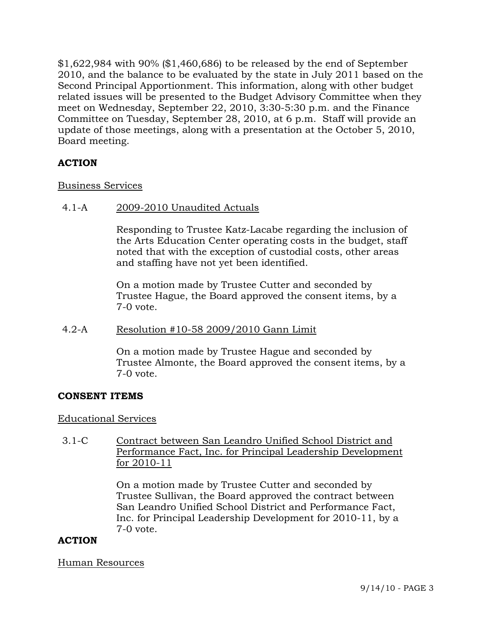\$1,622,984 with 90% (\$1,460,686) to be released by the end of September 2010, and the balance to be evaluated by the state in July 2011 based on the Second Principal Apportionment. This information, along with other budget related issues will be presented to the Budget Advisory Committee when they meet on Wednesday, September 22, 2010, 3:30-5:30 p.m. and the Finance Committee on Tuesday, September 28, 2010, at 6 p.m. Staff will provide an update of those meetings, along with a presentation at the October 5, 2010, Board meeting.

# **ACTION**

### Business Services

### 4.1-A 2009-2010 Unaudited Actuals

Responding to Trustee Katz-Lacabe regarding the inclusion of the Arts Education Center operating costs in the budget, staff noted that with the exception of custodial costs, other areas and staffing have not yet been identified.

On a motion made by Trustee Cutter and seconded by Trustee Hague, the Board approved the consent items, by a 7-0 vote.

# 4.2-A Resolution #10-58 2009/2010 Gann Limit

On a motion made by Trustee Hague and seconded by Trustee Almonte, the Board approved the consent items, by a 7-0 vote.

# **CONSENT ITEMS**

#### Educational Services

3.1-C Contract between San Leandro Unified School District and Performance Fact, Inc. for Principal Leadership Development for 2010-11

> On a motion made by Trustee Cutter and seconded by Trustee Sullivan, the Board approved the contract between San Leandro Unified School District and Performance Fact, Inc. for Principal Leadership Development for 2010-11, by a 7-0 vote.

# **ACTION**

#### Human Resources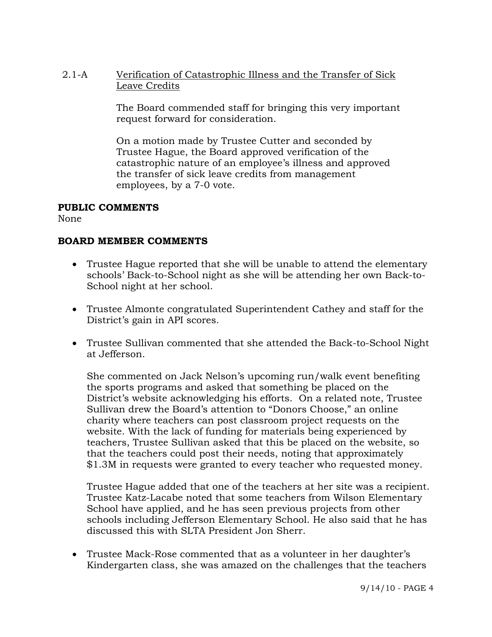2.1-A Verification of Catastrophic Illness and the Transfer of Sick Leave Credits

> The Board commended staff for bringing this very important request forward for consideration.

On a motion made by Trustee Cutter and seconded by Trustee Hague, the Board approved verification of the catastrophic nature of an employee's illness and approved the transfer of sick leave credits from management employees, by a 7-0 vote.

### **PUBLIC COMMENTS**

None

# **BOARD MEMBER COMMENTS**

- Trustee Hague reported that she will be unable to attend the elementary schools' Back-to-School night as she will be attending her own Back-to-School night at her school.
- Trustee Almonte congratulated Superintendent Cathey and staff for the District's gain in API scores.
- Trustee Sullivan commented that she attended the Back-to-School Night at Jefferson.

She commented on Jack Nelson's upcoming run/walk event benefiting the sports programs and asked that something be placed on the District's website acknowledging his efforts. On a related note, Trustee Sullivan drew the Board's attention to "Donors Choose," an online charity where teachers can post classroom project requests on the website. With the lack of funding for materials being experienced by teachers, Trustee Sullivan asked that this be placed on the website, so that the teachers could post their needs, noting that approximately \$1.3M in requests were granted to every teacher who requested money.

Trustee Hague added that one of the teachers at her site was a recipient. Trustee Katz-Lacabe noted that some teachers from Wilson Elementary School have applied, and he has seen previous projects from other schools including Jefferson Elementary School. He also said that he has discussed this with SLTA President Jon Sherr.

 Trustee Mack-Rose commented that as a volunteer in her daughter's Kindergarten class, she was amazed on the challenges that the teachers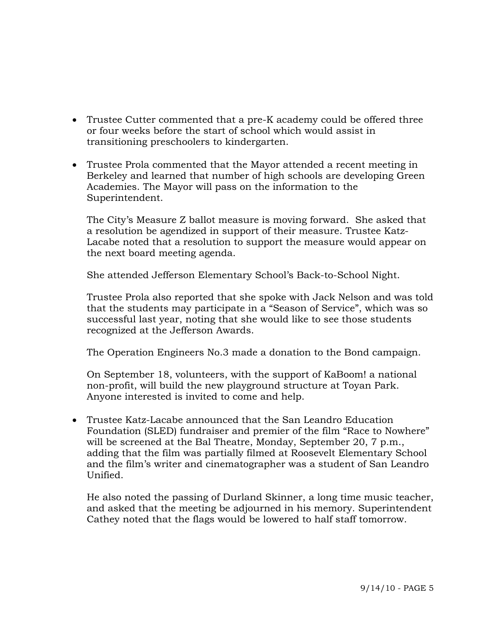- Trustee Cutter commented that a pre-K academy could be offered three or four weeks before the start of school which would assist in transitioning preschoolers to kindergarten.
- Trustee Prola commented that the Mayor attended a recent meeting in Berkeley and learned that number of high schools are developing Green Academies. The Mayor will pass on the information to the Superintendent.

The City's Measure Z ballot measure is moving forward. She asked that a resolution be agendized in support of their measure. Trustee Katz-Lacabe noted that a resolution to support the measure would appear on the next board meeting agenda.

She attended Jefferson Elementary School's Back-to-School Night.

Trustee Prola also reported that she spoke with Jack Nelson and was told that the students may participate in a "Season of Service", which was so successful last year, noting that she would like to see those students recognized at the Jefferson Awards.

The Operation Engineers No.3 made a donation to the Bond campaign.

On September 18, volunteers, with the support of KaBoom! a national non-profit, will build the new playground structure at Toyan Park. Anyone interested is invited to come and help.

 Trustee Katz-Lacabe announced that the San Leandro Education Foundation (SLED) fundraiser and premier of the film "Race to Nowhere" will be screened at the Bal Theatre, Monday, September 20, 7 p.m., adding that the film was partially filmed at Roosevelt Elementary School and the film's writer and cinematographer was a student of San Leandro Unified.

He also noted the passing of Durland Skinner, a long time music teacher, and asked that the meeting be adjourned in his memory. Superintendent Cathey noted that the flags would be lowered to half staff tomorrow.